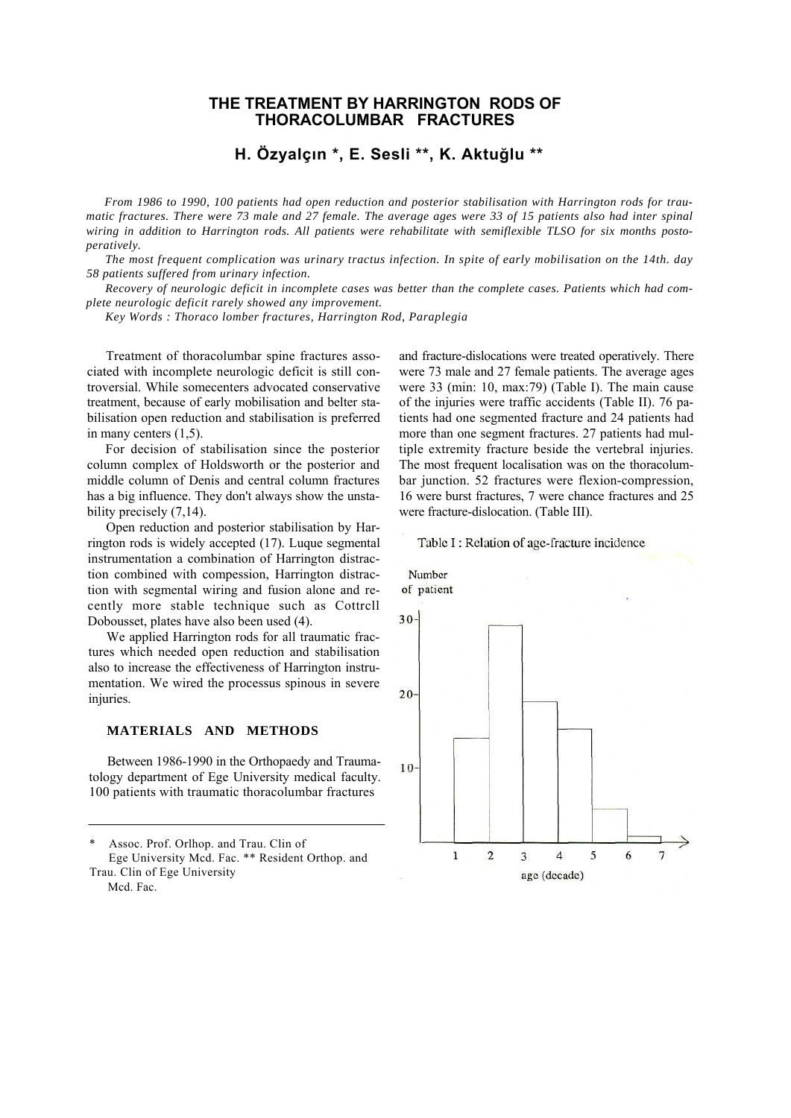# **THE TREATMENT BY HARRINGTON RODS OF THORACOLUMBAR FRACTURES**

# **H. Özyalçın \*, E. Sesli \*\*, K. AktuğIu \*\***

*From 1986 to 1990, 100 patients had open reduction and posterior stabilisation with Harrington rods for traumatic fractures. There were 73 male and 27 female. The average ages were 33 of 15 patients also had inter spinal wiring in addition to Harrington rods. All patients were rehabilitate with semiflexible TLSO for six months postoperatively.*

*The most frequent complication was urinary tractus infection. In spite of early mobilisation on the 14th. day 58 patients suffered from urinary infection.*

*Recovery of neurologic deficit in incomplete cases was better than the complete cases. Patients which had complete neurologic deficit rarely showed any improvement.*

*Key Words : Thoraco lomber fractures, Harrington Rod, Paraplegia*

Treatment of thoracolumbar spine fractures associated with incomplete neurologic deficit is still controversial. While somecenters advocated conservative treatment, because of early mobilisation and belter stabilisation open reduction and stabilisation is preferred in many centers (1,5).

For decision of stabilisation since the posterior column complex of Holdsworth or the posterior and middle column of Denis and central column fractures has a big influence. They don't always show the unstability precisely (7,14).

Open reduction and posterior stabilisation by Harrington rods is widely accepted (17). Luque segmental instrumentation a combination of Harrington distraction combined with compession, Harrington distraction with segmental wiring and fusion alone and recently more stable technique such as Cottrcll Dobousset, plates have also been used (4).

We applied Harrington rods for all traumatic fractures which needed open reduction and stabilisation also to increase the effectiveness of Harrington instrumentation. We wired the processus spinous in severe injuries.

## **MATERIALS AND METHODS**

Between 1986-1990 in the Orthopaedy and Traumatology department of Ege University medical faculty. 100 patients with traumatic thoracolumbar fractures

Assoc. Prof. Orlhop. and Trau. Clin of Ege University Mcd. Fac. \*\* Resident Orthop. and Trau. Clin of Ege University Mcd. Fac.

and fracture-dislocations were treated operatively. There were 73 male and 27 female patients. The average ages were 33 (min: 10, max:79) (Table I). The main cause of the injuries were traffic accidents (Table II). 76 patients had one segmented fracture and 24 patients had more than one segment fractures. 27 patients had multiple extremity fracture beside the vertebral injuries. The most frequent localisation was on the thoracolumbar junction. 52 fractures were flexion-compression, 16 were burst fractures, 7 were chance fractures and 25 were fracture-dislocation. (Table III).



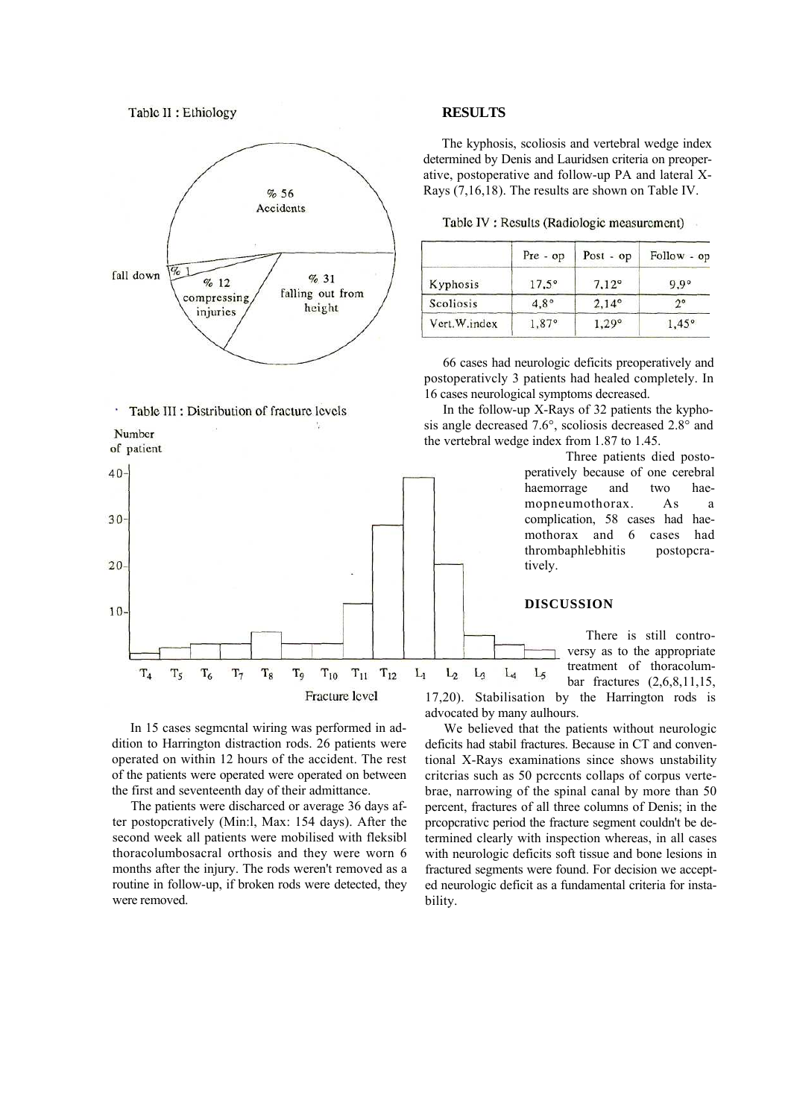

#### · Table III : Distribution of fracture levels

Number

of patient



In 15 cases segmcntal wiring was performed in addition to Harrington distraction rods. 26 patients were operated on within 12 hours of the accident. The rest of the patients were operated were operated on between the first and seventeenth day of their admittance.

The patients were discharced or average 36 days after postopcratively (Min:l, Max: 154 days). After the second week all patients were mobilised with fleksibl thoracolumbosacral orthosis and they were worn 6 months after the injury. The rods weren't removed as a routine in follow-up, if broken rods were detected, they were removed.

## **RESULTS**

The kyphosis, scoliosis and vertebral wedge index determined by Denis and Lauridsen criteria on preoperative, postoperative and follow-up PA and lateral X-Rays (7,16,18). The results are shown on Table IV.

Table IV : Results (Radiologic measurement)

|              | $Pre - op$     | $Post - op$    | Follow - op    |
|--------------|----------------|----------------|----------------|
| Kyphosis     | $17.5^{\circ}$ | $7,12^{\circ}$ | $9.9^\circ$    |
| Scoliosis    | $4.8^\circ$    | $2,14^{\circ}$ |                |
| Vert.W.index | 1,87°          | 1.29°          | $1,45^{\circ}$ |

66 cases had neurologic deficits preoperatively and postoperativcly 3 patients had healed completely. In 16 cases neurological symptoms decreased.

In the follow-up X-Rays of 32 patients the kyphosis angle decreased 7.6°, scoliosis decreased 2.8° and the vertebral wedge index from 1.87 to 1.45.

> Three patients died postoperatively because of one cerebral haemorrage and two haemopneumothorax. As a complication, 58 cases had haemothorax and 6 cases had thrombaphlebhitis postopcratively.

# **DISCUSSION**

There is still controversy as to the appropriate treatment of thoracolum- $L_4$  $L_5$ bar fractures (2,6,8,11,15, 17,20). Stabilisation by the Harrington rods is

advocated by many aulhours.

We believed that the patients without neurologic deficits had stabil fractures. Because in CT and conventional X-Rays examinations since shows unstability critcrias such as 50 pcrccnts collaps of corpus vertebrae, narrowing of the spinal canal by more than 50 percent, fractures of all three columns of Denis; in the prcopcrativc period the fracture segment couldn't be determined clearly with inspection whereas, in all cases with neurologic deficits soft tissue and bone lesions in fractured segments were found. For decision we accepted neurologic deficit as a fundamental criteria for instability.